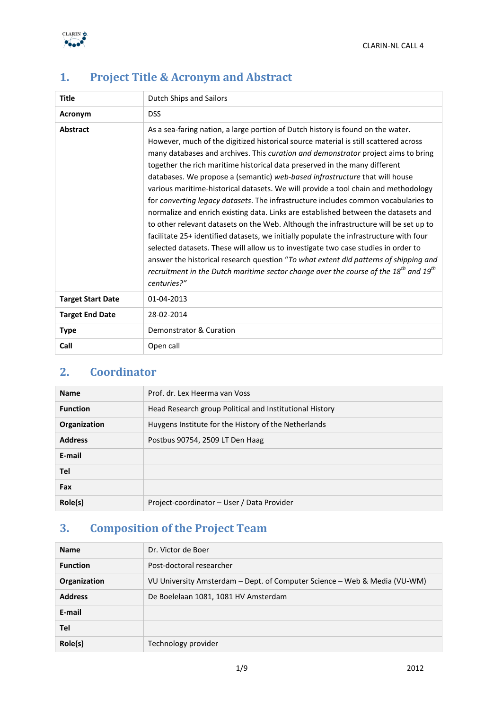

| <b>Title</b>             | Dutch Ships and Sailors                                                                                                                                                                                                                                                                                                                                                                                                                                                                                                                                                                                                                                                                                                                                                                                                                                                                                                                                                                                                                                                                                                                                                     |  |  |  |  |
|--------------------------|-----------------------------------------------------------------------------------------------------------------------------------------------------------------------------------------------------------------------------------------------------------------------------------------------------------------------------------------------------------------------------------------------------------------------------------------------------------------------------------------------------------------------------------------------------------------------------------------------------------------------------------------------------------------------------------------------------------------------------------------------------------------------------------------------------------------------------------------------------------------------------------------------------------------------------------------------------------------------------------------------------------------------------------------------------------------------------------------------------------------------------------------------------------------------------|--|--|--|--|
| Acronym                  | <b>DSS</b>                                                                                                                                                                                                                                                                                                                                                                                                                                                                                                                                                                                                                                                                                                                                                                                                                                                                                                                                                                                                                                                                                                                                                                  |  |  |  |  |
| <b>Abstract</b>          | As a sea-faring nation, a large portion of Dutch history is found on the water.<br>However, much of the digitized historical source material is still scattered across<br>many databases and archives. This curation and demonstrator project aims to bring<br>together the rich maritime historical data preserved in the many different<br>databases. We propose a (semantic) web-based infrastructure that will house<br>various maritime-historical datasets. We will provide a tool chain and methodology<br>for converting legacy datasets. The infrastructure includes common vocabularies to<br>normalize and enrich existing data. Links are established between the datasets and<br>to other relevant datasets on the Web. Although the infrastructure will be set up to<br>facilitate 25+ identified datasets, we initially populate the infrastructure with four<br>selected datasets. These will allow us to investigate two case studies in order to<br>answer the historical research question "To what extent did patterns of shipping and<br>recruitment in the Dutch maritime sector change over the course of the $18^{th}$ and $19^{th}$<br>centuries?" |  |  |  |  |
| <b>Target Start Date</b> | 01-04-2013                                                                                                                                                                                                                                                                                                                                                                                                                                                                                                                                                                                                                                                                                                                                                                                                                                                                                                                                                                                                                                                                                                                                                                  |  |  |  |  |
| <b>Target End Date</b>   | 28-02-2014                                                                                                                                                                                                                                                                                                                                                                                                                                                                                                                                                                                                                                                                                                                                                                                                                                                                                                                                                                                                                                                                                                                                                                  |  |  |  |  |
| <b>Type</b>              | Demonstrator & Curation                                                                                                                                                                                                                                                                                                                                                                                                                                                                                                                                                                                                                                                                                                                                                                                                                                                                                                                                                                                                                                                                                                                                                     |  |  |  |  |
| Call                     | Open call                                                                                                                                                                                                                                                                                                                                                                                                                                                                                                                                                                                                                                                                                                                                                                                                                                                                                                                                                                                                                                                                                                                                                                   |  |  |  |  |

# **1. Project Title & Acronym and Abstract**

# **2. Coordinator**

| <b>Name</b>     | Prof. dr. Lex Heerma van Voss                           |  |  |  |
|-----------------|---------------------------------------------------------|--|--|--|
| <b>Function</b> | Head Research group Political and Institutional History |  |  |  |
| Organization    | Huygens Institute for the History of the Netherlands    |  |  |  |
| <b>Address</b>  | Postbus 90754, 2509 LT Den Haag                         |  |  |  |
| E-mail          |                                                         |  |  |  |
| Tel             |                                                         |  |  |  |
| Fax             |                                                         |  |  |  |
| Role(s)         | Project-coordinator – User / Data Provider              |  |  |  |

# **3. Composition of the Project Team**

| <b>Name</b>     | Dr. Victor de Boer                                                        |
|-----------------|---------------------------------------------------------------------------|
| <b>Function</b> | Post-doctoral researcher                                                  |
| Organization    | VU University Amsterdam – Dept. of Computer Science – Web & Media (VU-WM) |
| <b>Address</b>  | De Boelelaan 1081, 1081 HV Amsterdam                                      |
| E-mail          |                                                                           |
| Tel             |                                                                           |
| Role(s)         | Technology provider                                                       |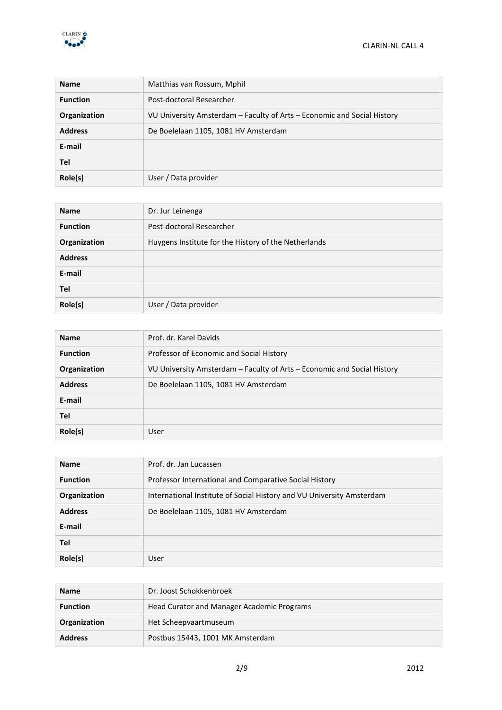

| <b>Name</b>     | Matthias van Rossum, Mphil                                              |
|-----------------|-------------------------------------------------------------------------|
| <b>Function</b> | Post-doctoral Researcher                                                |
| Organization    | VU University Amsterdam – Faculty of Arts – Economic and Social History |
| <b>Address</b>  | De Boelelaan 1105, 1081 HV Amsterdam                                    |
| E-mail          |                                                                         |
| <b>Tel</b>      |                                                                         |
| Role(s)         | User / Data provider                                                    |

| <b>Name</b>     | Dr. Jur Leinenga                                     |
|-----------------|------------------------------------------------------|
| <b>Function</b> | Post-doctoral Researcher                             |
| Organization    | Huygens Institute for the History of the Netherlands |
| <b>Address</b>  |                                                      |
| E-mail          |                                                      |
| Tel             |                                                      |
| Role(s)         | User / Data provider                                 |

| <b>Name</b>     | Prof. dr. Karel Davids                                                  |  |  |  |
|-----------------|-------------------------------------------------------------------------|--|--|--|
| <b>Function</b> | Professor of Economic and Social History                                |  |  |  |
| Organization    | VU University Amsterdam – Faculty of Arts – Economic and Social History |  |  |  |
| <b>Address</b>  | De Boelelaan 1105, 1081 HV Amsterdam                                    |  |  |  |
| E-mail          |                                                                         |  |  |  |
| Tel             |                                                                         |  |  |  |
| Role(s)         | User                                                                    |  |  |  |

| <b>Name</b>     | Prof. dr. Jan Lucassen                                                |  |  |  |
|-----------------|-----------------------------------------------------------------------|--|--|--|
| <b>Function</b> | Professor International and Comparative Social History                |  |  |  |
| Organization    | International Institute of Social History and VU University Amsterdam |  |  |  |
| <b>Address</b>  | De Boelelaan 1105, 1081 HV Amsterdam                                  |  |  |  |
| E-mail          |                                                                       |  |  |  |
| Tel             |                                                                       |  |  |  |
| Role(s)         | User                                                                  |  |  |  |

| <b>Name</b>     | Dr. Joost Schokkenbroek                    |
|-----------------|--------------------------------------------|
| <b>Function</b> | Head Curator and Manager Academic Programs |
| Organization    | Het Scheepvaartmuseum                      |
| <b>Address</b>  | Postbus 15443, 1001 MK Amsterdam           |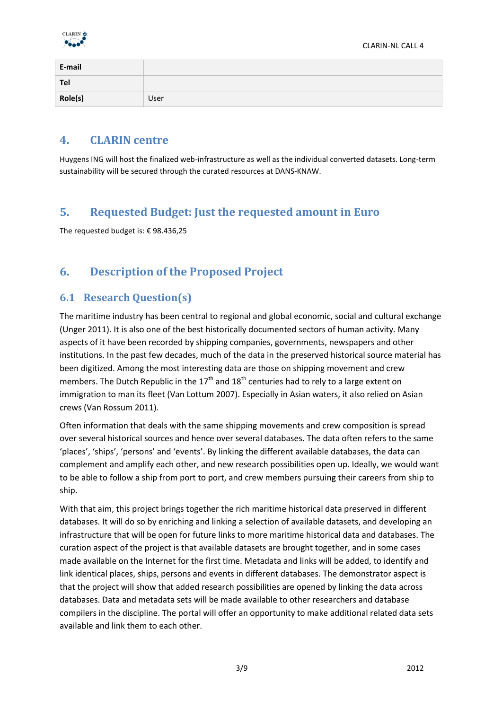

| E-mail  |      |
|---------|------|
| Tel     |      |
| Role(s) | User |

### **4. CLARIN centre**

Huygens ING will host the finalized web-infrastructure as well as the individual converted datasets. Long-term sustainability will be secured through the curated resources at DANS-KNAW.

## **5. Requested Budget: Just the requested amount in Euro**

The requested budget is: € 98.436,25

# **6. Description of the Proposed Project**

### **6.1 Research Question(s)**

The maritime industry has been central to regional and global economic, social and cultural exchange (Unger 2011). It is also one of the best historically documented sectors of human activity. Many aspects of it have been recorded by shipping companies, governments, newspapers and other institutions. In the past few decades, much of the data in the preserved historical source material has been digitized. Among the most interesting data are those on shipping movement and crew members. The Dutch Republic in the  $17<sup>th</sup>$  and  $18<sup>th</sup>$  centuries had to rely to a large extent on immigration to man its fleet (Van Lottum 2007). Especially in Asian waters, it also relied on Asian crews (Van Rossum 2011).

Often information that deals with the same shipping movements and crew composition is spread over several historical sources and hence over several databases. The data often refers to the same 'places', 'ships', 'persons' and 'events'. By linking the different available databases, the data can complement and amplify each other, and new research possibilities open up. Ideally, we would want to be able to follow a ship from port to port, and crew members pursuing their careers from ship to ship.

With that aim, this project brings together the rich maritime historical data preserved in different databases. It will do so by enriching and linking a selection of available datasets, and developing an infrastructure that will be open for future links to more maritime historical data and databases. The curation aspect of the project is that available datasets are brought together, and in some cases made available on the Internet for the first time. Metadata and links will be added, to identify and link identical places, ships, persons and events in different databases. The demonstrator aspect is that the project will show that added research possibilities are opened by linking the data across databases. Data and metadata sets will be made available to other researchers and database compilers in the discipline. The portal will offer an opportunity to make additional related data sets available and link them to each other.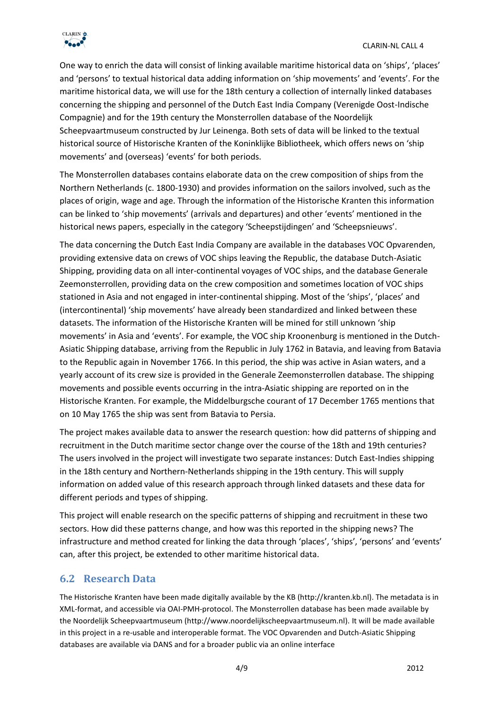One way to enrich the data will consist of linking available maritime historical data on 'ships', 'places' and 'persons' to textual historical data adding information on 'ship movements' and 'events'. For the maritime historical data, we will use for the 18th century a collection of internally linked databases concerning the shipping and personnel of the Dutch East India Company (Verenigde Oost-Indische Compagnie) and for the 19th century the Monsterrollen database of the Noordelijk Scheepvaartmuseum constructed by Jur Leinenga. Both sets of data will be linked to the textual historical source of Historische Kranten of the Koninklijke Bibliotheek, which offers news on 'ship movements' and (overseas) 'events' for both periods.

The Monsterrollen databases contains elaborate data on the crew composition of ships from the Northern Netherlands (c. 1800-1930) and provides information on the sailors involved, such as the places of origin, wage and age. Through the information of the Historische Kranten this information can be linked to 'ship movements' (arrivals and departures) and other 'events' mentioned in the historical news papers, especially in the category 'Scheepstijdingen' and 'Scheepsnieuws'.

The data concerning the Dutch East India Company are available in the databases VOC Opvarenden, providing extensive data on crews of VOC ships leaving the Republic, the database Dutch-Asiatic Shipping, providing data on all inter-continental voyages of VOC ships, and the database Generale Zeemonsterrollen, providing data on the crew composition and sometimes location of VOC ships stationed in Asia and not engaged in inter-continental shipping. Most of the 'ships', 'places' and (intercontinental) 'ship movements' have already been standardized and linked between these datasets. The information of the Historische Kranten will be mined for still unknown 'ship movements' in Asia and 'events'. For example, the VOC ship Kroonenburg is mentioned in the Dutch-Asiatic Shipping database, arriving from the Republic in July 1762 in Batavia, and leaving from Batavia to the Republic again in November 1766. In this period, the ship was active in Asian waters, and a yearly account of its crew size is provided in the Generale Zeemonsterrollen database. The shipping movements and possible events occurring in the intra-Asiatic shipping are reported on in the Historische Kranten. For example, the Middelburgsche courant of 17 December 1765 mentions that on 10 May 1765 the ship was sent from Batavia to Persia.

The project makes available data to answer the research question: how did patterns of shipping and recruitment in the Dutch maritime sector change over the course of the 18th and 19th centuries? The users involved in the project will investigate two separate instances: Dutch East-Indies shipping in the 18th century and Northern-Netherlands shipping in the 19th century. This will supply information on added value of this research approach through linked datasets and these data for different periods and types of shipping.

This project will enable research on the specific patterns of shipping and recruitment in these two sectors. How did these patterns change, and how was this reported in the shipping news? The infrastructure and method created for linking the data through 'places', 'ships', 'persons' and 'events' can, after this project, be extended to other maritime historical data.

### **6.2 Research Data**

The Historische Kranten have been made digitally available by the KB (http://kranten.kb.nl). The metadata is in XML-format, and accessible via OAI-PMH-protocol. The Monsterrollen database has been made available by the Noordelijk Scheepvaartmuseum (http://www.noordelijkscheepvaartmuseum.nl). It will be made available in this project in a re-usable and interoperable format. The VOC Opvarenden and Dutch-Asiatic Shipping databases are available via DANS and for a broader public via an online interface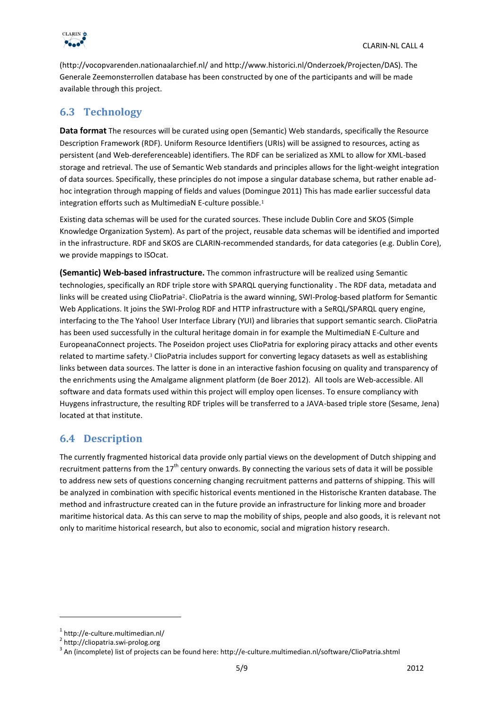

(http://vocopvarenden.nationaalarchief.nl/ and http://www.historici.nl/Onderzoek/Projecten/DAS). The Generale Zeemonsterrollen database has been constructed by one of the participants and will be made available through this project.

### **6.3 Technology**

**Data format** The resources will be curated using open (Semantic) Web standards, specifically the Resource Description Framework (RDF). Uniform Resource Identifiers (URIs) will be assigned to resources, acting as persistent (and Web-dereferenceable) identifiers. The RDF can be serialized as XML to allow for XML-based storage and retrieval. The use of Semantic Web standards and principles allows for the light-weight integration of data sources. Specifically, these principles do not impose a singular database schema, but rather enable adhoc integration through mapping of fields and values (Domingue 2011) This has made earlier successful data integration efforts such as MultimediaN E-culture possible.<sup>1</sup>

Existing data schemas will be used for the curated sources. These include Dublin Core and SKOS (Simple Knowledge Organization System). As part of the project, reusable data schemas will be identified and imported in the infrastructure. RDF and SKOS are CLARIN-recommended standards, for data categories (e.g. Dublin Core), we provide mappings to ISOcat.

**(Semantic) Web-based infrastructure.** The common infrastructure will be realized using Semantic technologies, specifically an RDF triple store with SPARQL querying functionality . The RDF data, metadata and links will be created using ClioPatria<sup>2</sup>. ClioPatria is the award winning, SWI-Prolog-based platform for Semantic Web Applications. It joins the SWI-Prolog RDF and HTTP infrastructure with a SeRQL/SPARQL query engine, interfacing to the The Yahoo! User Interface Library (YUI) and libraries that support semantic search. ClioPatria has been used successfully in the cultural heritage domain in for example the MultimediaN E-Culture and EuropeanaConnect projects. The Poseidon project uses ClioPatria for exploring piracy attacks and other events related to martime safety.<sup>3</sup> ClioPatria includes support for converting legacy datasets as well as establishing links between data sources. The latter is done in an interactive fashion focusing on quality and transparency of the enrichments using the Amalgame alignment platform (de Boer 2012). All tools are Web-accessible. All software and data formats used within this project will employ open licenses. To ensure compliancy with Huygens infrastructure, the resulting RDF triples will be transferred to a JAVA-based triple store (Sesame, Jena) located at that institute.

### **6.4 Description**

The currently fragmented historical data provide only partial views on the development of Dutch shipping and recruitment patterns from the 17<sup>th</sup> century onwards. By connecting the various sets of data it will be possible to address new sets of questions concerning changing recruitment patterns and patterns of shipping. This will be analyzed in combination with specific historical events mentioned in the Historische Kranten database. The method and infrastructure created can in the future provide an infrastructure for linking more and broader maritime historical data. As this can serve to map the mobility of ships, people and also goods, it is relevant not only to maritime historical research, but also to economic, social and migration history research.

**.** 

<sup>1</sup> http://e-culture.multimedian.nl/

<sup>2</sup> http://cliopatria.swi-prolog.org

 $^3$  An (incomplete) list of projects can be found here: http://e-culture.multimedian.nl/software/ClioPatria.shtml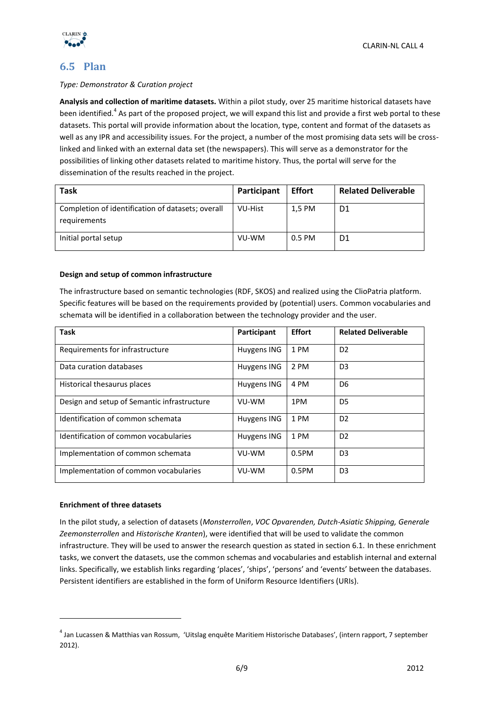

### **6.5 Plan**

#### *Type: Demonstrator & Curation project*

**Analysis and collection of maritime datasets.** Within a pilot study, over 25 maritime historical datasets have been identified.<sup>4</sup> As part of the proposed project, we will expand this list and provide a first web portal to these datasets. This portal will provide information about the location, type, content and format of the datasets as well as any IPR and accessibility issues. For the project, a number of the most promising data sets will be crosslinked and linked with an external data set (the newspapers). This will serve as a demonstrator for the possibilities of linking other datasets related to maritime history. Thus, the portal will serve for the dissemination of the results reached in the project.

| <b>Task</b>                                                       | Participant | <b>Effort</b> | <b>Related Deliverable</b> |
|-------------------------------------------------------------------|-------------|---------------|----------------------------|
| Completion of identification of datasets; overall<br>requirements | VU-Hist     | 1,5 PM        | D1                         |
| Initial portal setup                                              | VU-WM       | 0.5 PM        | D1                         |

#### **Design and setup of common infrastructure**

The infrastructure based on semantic technologies (RDF, SKOS) and realized using the ClioPatria platform. Specific features will be based on the requirements provided by (potential) users. Common vocabularies and schemata will be identified in a collaboration between the technology provider and the user.

| <b>Task</b>                                 | Participant | <b>Effort</b> | <b>Related Deliverable</b> |
|---------------------------------------------|-------------|---------------|----------------------------|
| Requirements for infrastructure             | Huygens ING | 1 PM          | D <sub>2</sub>             |
| Data curation databases                     | Huygens ING | 2 PM          | D <sub>3</sub>             |
| Historical thesaurus places                 | Huygens ING | 4 PM          | D6                         |
| Design and setup of Semantic infrastructure | VU-WM       | 1PM           | D <sub>5</sub>             |
| Identification of common schemata           | Huygens ING | 1 PM          | D <sub>2</sub>             |
| Identification of common vocabularies       | Huygens ING | 1 PM          | D <sub>2</sub>             |
| Implementation of common schemata           | VU-WM       | $0.5$ PM      | D <sub>3</sub>             |
| Implementation of common vocabularies       | VU-WM       | $0.5$ PM      | D <sub>3</sub>             |

#### **Enrichment of three datasets**

 $\overline{a}$ 

In the pilot study, a selection of datasets (*Monsterrollen*, *VOC Opvarenden, Dutch-Asiatic Shipping, Generale Zeemonsterrollen* and *Historische Kranten*), were identified that will be used to validate the common infrastructure. They will be used to answer the research question as stated in section 6.1. In these enrichment tasks, we convert the datasets, use the common schemas and vocabularies and establish internal and external links. Specifically, we establish links regarding 'places', 'ships', 'persons' and 'events' between the databases. Persistent identifiers are established in the form of Uniform Resource Identifiers (URIs).

<sup>4</sup> Jan Lucassen & Matthias van Rossum, 'Uitslag enquête Maritiem Historische Databases', (intern rapport, 7 september 2012).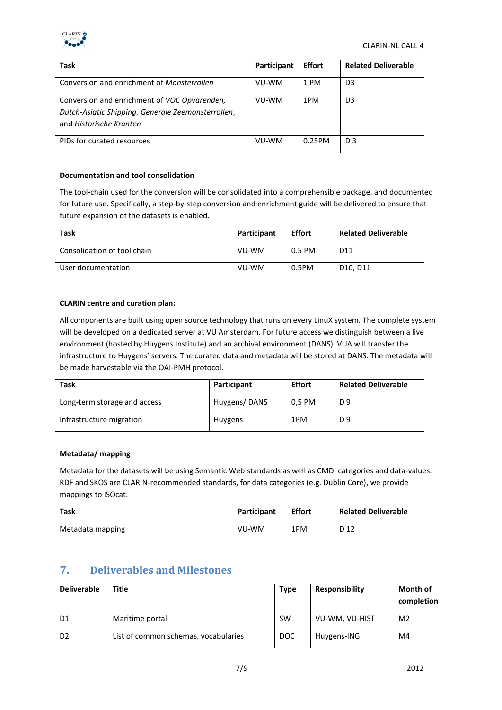

| Task                                                                                                                          | Participant | <b>Effort</b> | <b>Related Deliverable</b> |
|-------------------------------------------------------------------------------------------------------------------------------|-------------|---------------|----------------------------|
| Conversion and enrichment of <i>Monsterrollen</i>                                                                             | VU-WM       | 1 PM          | D <sub>3</sub>             |
| Conversion and enrichment of VOC Opvarenden,<br>Dutch-Asiatic Shipping, Generale Zeemonsterrollen,<br>and Historische Kranten | VU-WM       | 1PM           | D <sub>3</sub>             |
| PIDs for curated resources                                                                                                    | VU-WM       | 0.25PM        | D <sub>3</sub>             |

#### **Documentation and tool consolidation**

The tool-chain used for the conversion will be consolidated into a comprehensible package. and documented for future use. Specifically, a step-by-step conversion and enrichment guide will be delivered to ensure that future expansion of the datasets is enabled.

| <b>Task</b>                 | Participant | <b>Effort</b> | <b>Related Deliverable</b>        |
|-----------------------------|-------------|---------------|-----------------------------------|
| Consolidation of tool chain | VU-WM       | 0.5 PM        | D <sub>11</sub>                   |
| User documentation          | VU-WM       | 0.5PM         | D <sub>10</sub> . D <sub>11</sub> |

#### **CLARIN centre and curation plan:**

All components are built using open source technology that runs on every LinuX system. The complete system will be developed on a dedicated server at VU Amsterdam. For future access we distinguish between a live environment (hosted by Huygens Institute) and an archival environment (DANS). VUA will transfer the infrastructure to Huygens' servers. The curated data and metadata will be stored at DANS. The metadata will be made harvestable via the OAI-PMH protocol.

| Task                         | Participant  | <b>Effort</b> | <b>Related Deliverable</b> |
|------------------------------|--------------|---------------|----------------------------|
| Long-term storage and access | Huygens/DANS | 0,5 PM        | D 9                        |
| Infrastructure migration     | Huygens      | 1PM           | D 9                        |

#### **Metadata/ mapping**

Metadata for the datasets will be using Semantic Web standards as well as CMDI categories and data-values. RDF and SKOS are CLARIN-recommended standards, for data categories (e.g. Dublin Core), we provide mappings to ISOcat.

| Task             | Participant | <b>Effort</b> | <b>Related Deliverable</b> |
|------------------|-------------|---------------|----------------------------|
| Metadata mapping | VU-WM       | 1PM           | D <sub>12</sub>            |

### **7. Deliverables and Milestones**

| <b>Deliverable</b> | <b>Title</b>                         | <b>Type</b> | <b>Responsibility</b> | <b>Month of</b><br>completion |
|--------------------|--------------------------------------|-------------|-----------------------|-------------------------------|
| D <sub>1</sub>     | Maritime portal                      | <b>SW</b>   | VU-WM, VU-HIST        | M <sub>2</sub>                |
| D <sub>2</sub>     | List of common schemas, vocabularies | <b>DOC</b>  | Huygens-ING           | M4                            |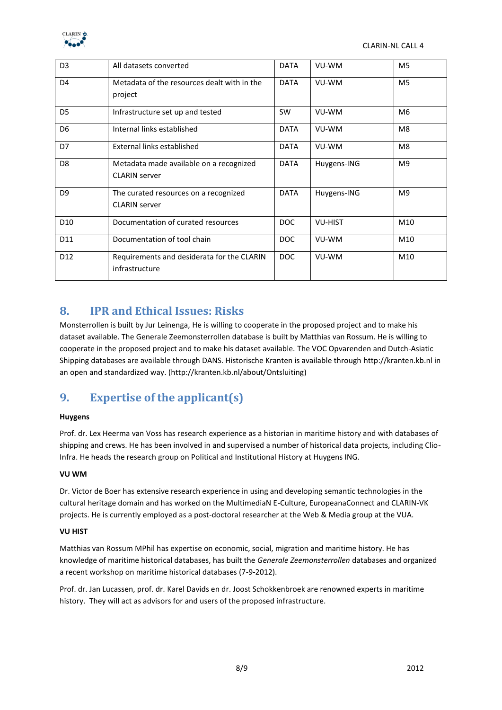

| D <sub>3</sub>  | All datasets converted                                          | <b>DATA</b> | VU-WM          | M <sub>5</sub> |
|-----------------|-----------------------------------------------------------------|-------------|----------------|----------------|
| D <sub>4</sub>  | Metadata of the resources dealt with in the<br>project          | <b>DATA</b> | VU-WM          | M <sub>5</sub> |
| D <sub>5</sub>  | Infrastructure set up and tested                                | SW          | VU-WM          | M <sub>6</sub> |
| D <sub>6</sub>  | Internal links established                                      | <b>DATA</b> | VU-WM          | M <sub>8</sub> |
| D7              | External links established                                      | <b>DATA</b> | VU-WM          | M <sub>8</sub> |
| D <sub>8</sub>  | Metadata made available on a recognized<br><b>CLARIN</b> server | <b>DATA</b> | Huygens-ING    | M <sup>9</sup> |
| D <sub>9</sub>  | The curated resources on a recognized<br><b>CLARIN</b> server   | <b>DATA</b> | Huygens-ING    | M <sub>9</sub> |
| D <sub>10</sub> | Documentation of curated resources                              | <b>DOC</b>  | <b>VU-HIST</b> | M10            |
| D11             | Documentation of tool chain                                     | DOC         | VU-WM          | M10            |
| D <sub>12</sub> | Requirements and desiderata for the CLARIN<br>infrastructure    | <b>DOC</b>  | VU-WM          | M10            |

### **8. IPR and Ethical Issues: Risks**

Monsterrollen is built by Jur Leinenga, He is willing to cooperate in the proposed project and to make his dataset available. The Generale Zeemonsterrollen database is built by Matthias van Rossum. He is willing to cooperate in the proposed project and to make his dataset available. The VOC Opvarenden and Dutch-Asiatic Shipping databases are available through DANS. Historische Kranten is available through http://kranten.kb.nl in an open and standardized way. (http://kranten.kb.nl/about/Ontsluiting)

## **9. Expertise of the applicant(s)**

#### **Huygens**

Prof. dr. Lex Heerma van Voss has research experience as a historian in maritime history and with databases of shipping and crews. He has been involved in and supervised a number of historical data projects, including Clio-Infra. He heads the research group on Political and Institutional History at Huygens ING.

#### **VU WM**

Dr. Victor de Boer has extensive research experience in using and developing semantic technologies in the cultural heritage domain and has worked on the MultimediaN E-Culture, EuropeanaConnect and CLARIN-VK projects. He is currently employed as a post-doctoral researcher at the Web & Media group at the VUA.

#### **VU HIST**

Matthias van Rossum MPhil has expertise on economic, social, migration and maritime history. He has knowledge of maritime historical databases, has built the *Generale Zeemonsterrollen* databases and organized a recent workshop on maritime historical databases (7-9-2012).

Prof. dr. Jan Lucassen, prof. dr. Karel Davids en dr. Joost Schokkenbroek are renowned experts in maritime history. They will act as advisors for and users of the proposed infrastructure.